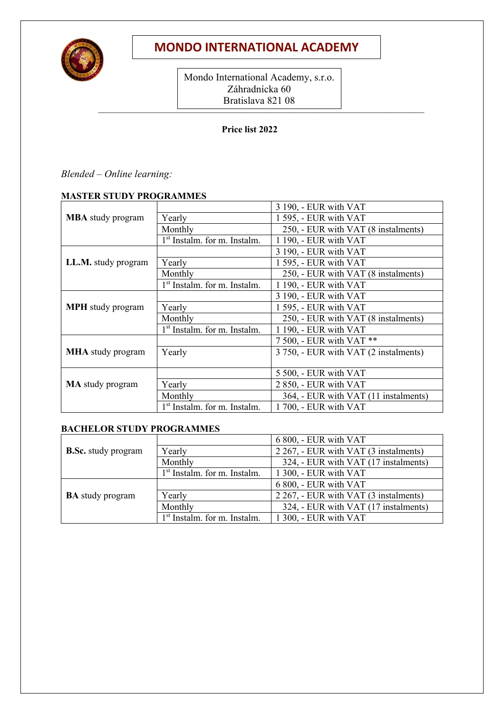

# **MONDO INTERNATIONAL ACADEMY**

 $L_{\text{IMLOIMMA}}$  ( $L_{\text{I}}$  ) (i) Mondo International Academy, s.r.o. Záhradnícka 60 Bratislava 821 08

### **Price list 2022**

## *Blended – Online learning:*

### **MASTER STUDY PROGRAMMES**

|                          |                                          | 3 190, - EUR with VAT                 |
|--------------------------|------------------------------------------|---------------------------------------|
| <b>MBA</b> study program | Yearly                                   | 1 595, - EUR with VAT                 |
|                          | Monthly                                  | 250, - EUR with VAT (8 instalments)   |
|                          | 1 <sup>st</sup> Instalm. for m. Instalm. | 1 190, - EUR with VAT                 |
|                          |                                          | 3 190, - EUR with VAT                 |
| LL.M. study program      | Yearly                                   | 1 595, - EUR with VAT                 |
|                          | Monthly                                  | 250, - EUR with VAT (8 instalments)   |
|                          | 1 <sup>st</sup> Instalm. for m. Instalm. | 1 190, - EUR with VAT                 |
|                          |                                          | 3 190, - EUR with VAT                 |
| <b>MPH</b> study program | Yearly                                   | 1 595, - EUR with VAT                 |
|                          | Monthly                                  | 250, - EUR with VAT (8 instalments)   |
|                          | 1 <sup>st</sup> Instalm. for m. Instalm. | 1 190, - EUR with VAT                 |
|                          |                                          | 7 500, - EUR with VAT **              |
| <b>MHA</b> study program | Yearly                                   | 3 750, - EUR with VAT (2 instalments) |
|                          |                                          |                                       |
|                          |                                          | 5 500, - EUR with VAT                 |
| <b>MA</b> study program  | Yearly                                   | 2 850, - EUR with VAT                 |
|                          | Monthly                                  | 364, - EUR with VAT (11 instalments)  |
|                          | 1 <sup>st</sup> Instalm. for m. Instalm. | 1700, - EUR with VAT                  |

### **BACHELOR STUDY PROGRAMMES**

|                            |                                          | 6 800, - EUR with VAT                 |
|----------------------------|------------------------------------------|---------------------------------------|
| <b>B.Sc.</b> study program | Yearly                                   | 2 267, - EUR with VAT (3 instalments) |
|                            | Monthly                                  | 324, - EUR with VAT (17 instalments)  |
|                            | 1 <sup>st</sup> Instalm. for m. Instalm. | 1 300, - EUR with VAT                 |
|                            |                                          | 6 800, - EUR with VAT                 |
| <b>BA</b> study program    | Yearly                                   | 2 267, - EUR with VAT (3 instalments) |
|                            | Monthly                                  | 324, - EUR with VAT (17 instalments)  |
|                            | 1 <sup>st</sup> Instalm. for m. Instalm. | 1 300, - EUR with VAT                 |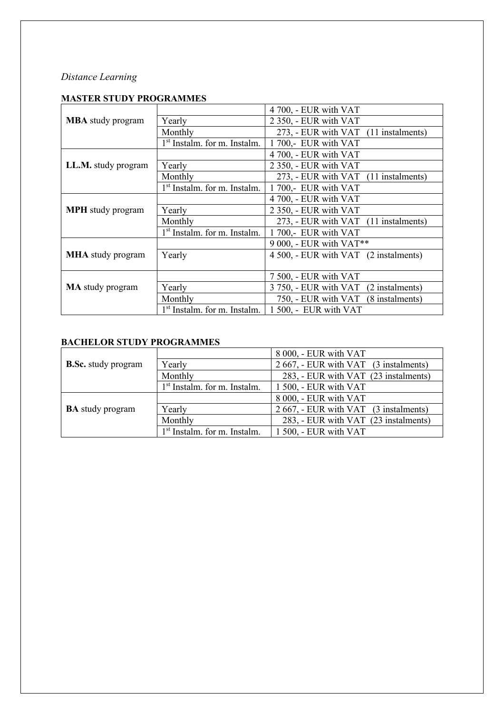## *Distance Learning*

## **MASTER STUDY PROGRAMMES**

|                          |                                          | 4 700, - EUR with VAT                 |
|--------------------------|------------------------------------------|---------------------------------------|
| <b>MBA</b> study program | Yearly                                   | 2 350, - EUR with VAT                 |
|                          | Monthly                                  | 273, - EUR with VAT (11 instalments)  |
|                          | 1 <sup>st</sup> Instalm. for m. Instalm. | 1 700,- EUR with VAT                  |
|                          |                                          | 4 700, - EUR with VAT                 |
| LL.M. study program      | Yearly                                   | 2 350, - EUR with VAT                 |
|                          | Monthly                                  | 273, - EUR with VAT (11 instalments)  |
|                          | 1 <sup>st</sup> Instalm. for m. Instalm. | 1700,- EUR with VAT                   |
|                          |                                          | 4 700, - EUR with VAT                 |
| <b>MPH</b> study program | Yearly                                   | 2 350, - EUR with VAT                 |
|                          | Monthly                                  | 273, - EUR with VAT (11 instalments)  |
|                          | 1 <sup>st</sup> Instalm. for m. Instalm. | 1700,- EUR with VAT                   |
|                          |                                          | 9 000, - EUR with VAT**               |
| <b>MHA</b> study program | Yearly                                   | 4 500, - EUR with VAT (2 instalments) |
|                          |                                          |                                       |
|                          |                                          | 7 500, - EUR with VAT                 |
| <b>MA</b> study program  | Yearly                                   | 3 750, - EUR with VAT (2 instalments) |
|                          | Monthly                                  | 750, - EUR with VAT (8 instalments)   |
|                          | 1 <sup>st</sup> Instalm. for m. Instalm. | 1 500, - EUR with VAT                 |

## **BACHELOR STUDY PROGRAMMES**

|                            |                                | 8 000, - EUR with VAT                 |
|----------------------------|--------------------------------|---------------------------------------|
| <b>B.Sc.</b> study program | Yearly                         | 2 667, - EUR with VAT (3 instalments) |
|                            | Monthly                        | 283, - EUR with VAT (23 instalments)  |
|                            | $1st$ Instalm. for m. Instalm. | 1 500, - EUR with VAT                 |
|                            |                                | 8 000, - EUR with VAT                 |
| <b>BA</b> study program    | Yearly                         | 2 667, - EUR with VAT (3 instalments) |
|                            | Monthly                        | 283, - EUR with VAT (23 instalments)  |
|                            | $1st$ Instalm. for m. Instalm. | 1 500, - EUR with VAT                 |